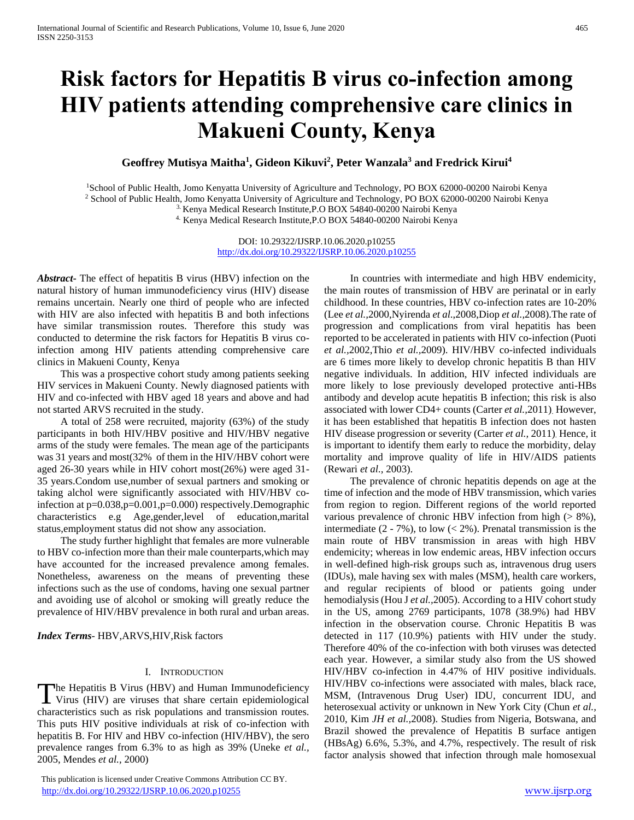# **Risk factors for Hepatitis B virus co-infection among HIV patients attending comprehensive care clinics in Makueni County, Kenya**

## **Geoffrey Mutisya Maitha<sup>1</sup> , Gideon Kikuvi<sup>2</sup> , Peter Wanzala<sup>3</sup> and Fredrick Kirui<sup>4</sup>**

<sup>1</sup>School of Public Health, Jomo Kenyatta University of Agriculture and Technology, PO BOX 62000-00200 Nairobi Kenya

<sup>2</sup> School of Public Health, Jomo Kenyatta University of Agriculture and Technology, PO BOX 62000-00200 Nairobi Kenya

3. Kenya Medical Research Institute,P.O BOX 54840-00200 Nairobi Kenya

4. Kenya Medical Research Institute,P.O BOX 54840-00200 Nairobi Kenya

DOI: 10.29322/IJSRP.10.06.2020.p10255 <http://dx.doi.org/10.29322/IJSRP.10.06.2020.p10255>

*Abstract***-** The effect of hepatitis B virus (HBV) infection on the natural history of human immunodeficiency virus (HIV) disease remains uncertain. Nearly one third of people who are infected with HIV are also infected with hepatitis B and both infections have similar transmission routes. Therefore this study was conducted to determine the risk factors for Hepatitis B virus coinfection among HIV patients attending comprehensive care clinics in Makueni County, Kenya

 This was a prospective cohort study among patients seeking HIV services in Makueni County. Newly diagnosed patients with HIV and co-infected with HBV aged 18 years and above and had not started ARVS recruited in the study.

 A total of 258 were recruited, majority (63%) of the study participants in both HIV/HBV positive and HIV/HBV negative arms of the study were females. The mean age of the participants was 31 years and most(32% of them in the HIV/HBV cohort were aged 26-30 years while in HIV cohort most(26%) were aged 31- 35 years.Condom use,number of sexual partners and smoking or taking alchol were significantly associated with HIV/HBV coinfection at p=0.038,p=0.001,p=0.000) respectively.Demographic characteristics e.g Age,gender,level of education,marital status,employment status did not show any association.

 The study further highlight that females are more vulnerable to HBV co-infection more than their male counterparts,which may have accounted for the increased prevalence among females. Nonetheless, awareness on the means of preventing these infections such as the use of condoms, having one sexual partner and avoiding use of alcohol or smoking will greatly reduce the prevalence of HIV/HBV prevalence in both rural and urban areas.

*Index Terms*- HBV,ARVS,HIV,Risk factors

#### I. INTRODUCTION

he Hepatitis B Virus (HBV) and Human Immunodeficiency The Hepatitis B Virus (HBV) and Human Immunodeficiency<br>Virus (HIV) are viruses that share certain epidemiological characteristics such as risk populations and transmission routes. This puts HIV positive individuals at risk of co-infection with hepatitis B. For HIV and HBV co-infection (HIV/HBV), the sero prevalence ranges from 6.3% to as high as 39% (Uneke *et al.,* 2005, Mendes *et al.,* 2000)

 This publication is licensed under Creative Commons Attribution CC BY. <http://dx.doi.org/10.29322/IJSRP.10.06.2020.p10255> [www.ijsrp.org](http://ijsrp.org/)

 In countries with intermediate and high HBV endemicity, the main routes of transmission of HBV are perinatal or in early childhood. In these countries, HBV co-infection rates are 10-20% (Lee *et al.,*2000,Nyirenda *et al*.,2008,Diop *et al.,*2008).The rate of progression and complications from viral hepatitis has been reported to be accelerated in patients with HIV co-infection (Puoti *et al.,*2002,Thio *et al.,*2009). HIV/HBV co-infected individuals are 6 times more likely to develop chronic hepatitis B than HIV negative individuals. In addition, HIV infected individuals are more likely to lose previously developed protective anti-HBs antibody and develop acute hepatitis B infection; this risk is also associated with lower CD4+ counts (Carter *et al.,*2011). However, it has been established that hepatitis B infection does not hasten HIV disease progression or severity (Carter *et al.,* 2011). Hence, it is important to identify them early to reduce the morbidity, delay mortality and improve quality of life in HIV/AIDS patients (Rewari *et al.,* 2003).

 The prevalence of chronic hepatitis depends on age at the time of infection and the mode of HBV transmission, which varies from region to region. Different regions of the world reported various prevalence of chronic HBV infection from high  $($  > 8%), intermediate  $(2 - 7\%)$ , to low  $(< 2\%)$ . Prenatal transmission is the main route of HBV transmission in areas with high HBV endemicity; whereas in low endemic areas, HBV infection occurs in well-defined high-risk groups such as, intravenous drug users (IDUs), male having sex with males (MSM), health care workers, and regular recipients of blood or patients going under hemodialysis (Hou J *et al.,*2005). According to a HIV cohort study in the US, among 2769 participants, 1078 (38.9%) had HBV infection in the observation course. Chronic Hepatitis B was detected in 117 (10.9%) patients with HIV under the study. Therefore 40% of the co-infection with both viruses was detected each year. However, a similar study also from the US showed HIV/HBV co-infection in 4.47% of HIV positive individuals. HIV/HBV co-infections were associated with males, black race, MSM, (Intravenous Drug User) IDU, concurrent IDU, and heterosexual activity or unknown in New York City (Chun *et al.,* 2010, Kim *JH et al.,*2008). Studies from Nigeria, Botswana, and Brazil showed the prevalence of Hepatitis B surface antigen (HBsAg) 6.6%, 5.3%, and 4.7%, respectively. The result of risk factor analysis showed that infection through male homosexual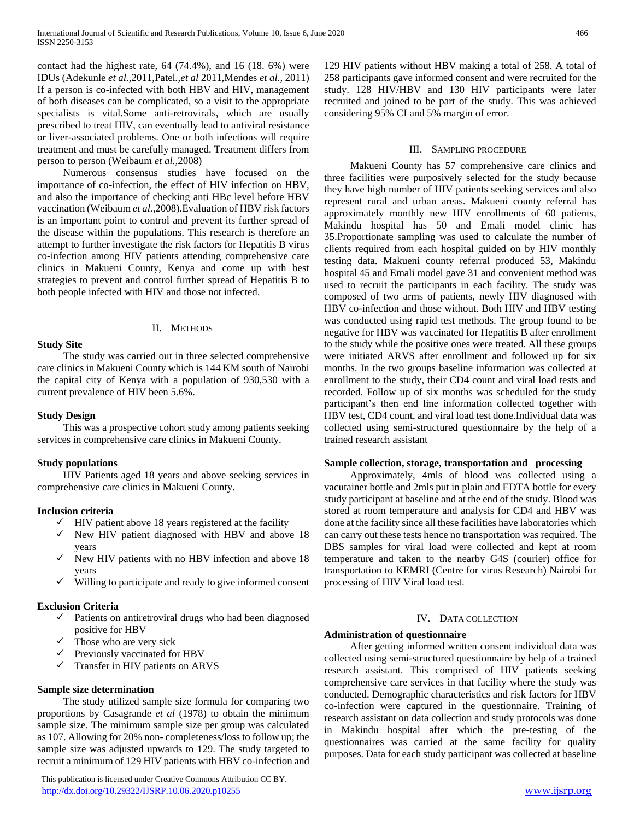contact had the highest rate, 64 (74.4%), and 16 (18. 6%) were IDUs (Adekunle *et al.,*2011,Patel*.,et al* 2011,Mendes *et al.,* 2011) If a person is co-infected with both HBV and HIV, management of both diseases can be complicated, so a visit to the appropriate specialists is vital.Some anti-retrovirals, which are usually prescribed to treat HIV, can eventually lead to antiviral resistance or liver-associated problems. One or both infections will require treatment and must be carefully managed. Treatment differs from person to person (Weibaum *et al.,*2008)

 Numerous consensus studies have focused on the importance of co-infection, the effect of HIV infection on HBV, and also the importance of checking anti HBc level before HBV vaccination (Weibaum *et al.,*2008).Evaluation of HBV risk factors is an important point to control and prevent its further spread of the disease within the populations. This research is therefore an attempt to further investigate the risk factors for Hepatitis B virus co-infection among HIV patients attending comprehensive care clinics in Makueni County, Kenya and come up with best strategies to prevent and control further spread of Hepatitis B to both people infected with HIV and those not infected.

## II. METHODS

## **Study Site**

 The study was carried out in three selected comprehensive care clinics in Makueni County which is 144 KM south of Nairobi the capital city of Kenya with a population of 930,530 with a current prevalence of HIV been 5.6%.

## **Study Design**

 This was a prospective cohort study among patients seeking services in comprehensive care clinics in Makueni County.

## **Study populations**

 HIV Patients aged 18 years and above seeking services in comprehensive care clinics in Makueni County.

### **Inclusion criteria**

- $\checkmark$  HIV patient above 18 years registered at the facility
- $\checkmark$  New HIV patient diagnosed with HBV and above 18 years
- $\checkmark$  New HIV patients with no HBV infection and above 18 years
- $\checkmark$  Willing to participate and ready to give informed consent

## **Exclusion Criteria**

- $\checkmark$  Patients on antiretroviral drugs who had been diagnosed positive for HBV
- Those who are very sick
- $\checkmark$  Previously vaccinated for HBV
- $\checkmark$  Transfer in HIV patients on ARVS

#### **Sample size determination**

 The study utilized sample size formula for comparing two proportions by Casagrande *et al* (1978) to obtain the minimum sample size. The minimum sample size per group was calculated as 107. Allowing for 20% non- completeness/loss to follow up; the sample size was adjusted upwards to 129. The study targeted to recruit a minimum of 129 HIV patients with HBV co-infection and

 This publication is licensed under Creative Commons Attribution CC BY. <http://dx.doi.org/10.29322/IJSRP.10.06.2020.p10255> [www.ijsrp.org](http://ijsrp.org/)

129 HIV patients without HBV making a total of 258. A total of 258 participants gave informed consent and were recruited for the study. 128 HIV/HBV and 130 HIV participants were later recruited and joined to be part of the study. This was achieved considering 95% CI and 5% margin of error.

#### III. SAMPLING PROCEDURE

 Makueni County has 57 comprehensive care clinics and three facilities were purposively selected for the study because they have high number of HIV patients seeking services and also represent rural and urban areas. Makueni county referral has approximately monthly new HIV enrollments of 60 patients, Makindu hospital has 50 and Emali model clinic has 35.Proportionate sampling was used to calculate the number of clients required from each hospital guided on by HIV monthly testing data. Makueni county referral produced 53, Makindu hospital 45 and Emali model gave 31 and convenient method was used to recruit the participants in each facility. The study was composed of two arms of patients, newly HIV diagnosed with HBV co-infection and those without. Both HIV and HBV testing was conducted using rapid test methods. The group found to be negative for HBV was vaccinated for Hepatitis B after enrollment to the study while the positive ones were treated. All these groups were initiated ARVS after enrollment and followed up for six months. In the two groups baseline information was collected at enrollment to the study, their CD4 count and viral load tests and recorded. Follow up of six months was scheduled for the study participant's then end line information collected together with HBV test, CD4 count, and viral load test done.Individual data was collected using semi-structured questionnaire by the help of a trained research assistant

## **Sample collection, storage, transportation and processing**

 Approximately, 4mls of blood was collected using a vacutainer bottle and 2mls put in plain and EDTA bottle for every study participant at baseline and at the end of the study. Blood was stored at room temperature and analysis for CD4 and HBV was done at the facility since all these facilities have laboratories which can carry out these tests hence no transportation was required. The DBS samples for viral load were collected and kept at room temperature and taken to the nearby G4S (courier) office for transportation to KEMRI (Centre for virus Research) Nairobi for processing of HIV Viral load test.

#### IV. DATA COLLECTION

## **Administration of questionnaire**

 After getting informed written consent individual data was collected using semi-structured questionnaire by help of a trained research assistant. This comprised of HIV patients seeking comprehensive care services in that facility where the study was conducted. Demographic characteristics and risk factors for HBV co-infection were captured in the questionnaire. Training of research assistant on data collection and study protocols was done in Makindu hospital after which the pre-testing of the questionnaires was carried at the same facility for quality purposes. Data for each study participant was collected at baseline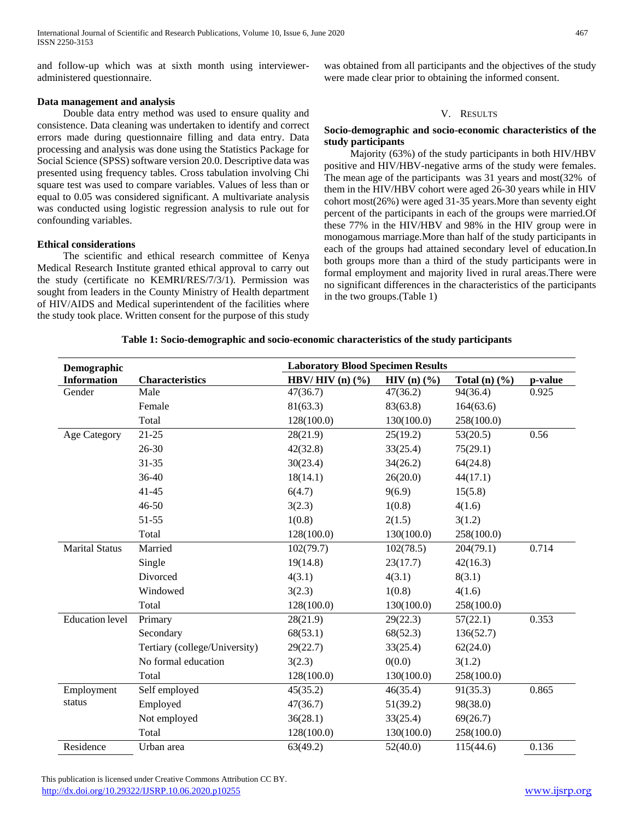and follow-up which was at sixth month using intervieweradministered questionnaire.

## **Data management and analysis**

 Double data entry method was used to ensure quality and consistence. Data cleaning was undertaken to identify and correct errors made during questionnaire filling and data entry. Data processing and analysis was done using the Statistics Package for Social Science (SPSS) software version 20.0. Descriptive data was presented using frequency tables. Cross tabulation involving Chi square test was used to compare variables. Values of less than or equal to 0.05 was considered significant. A multivariate analysis was conducted using logistic regression analysis to rule out for confounding variables.

## **Ethical considerations**

 The scientific and ethical research committee of Kenya Medical Research Institute granted ethical approval to carry out the study (certificate no KEMRI/RES/7/3/1). Permission was sought from leaders in the County Ministry of Health department of HIV/AIDS and Medical superintendent of the facilities where the study took place. Written consent for the purpose of this study

was obtained from all participants and the objectives of the study were made clear prior to obtaining the informed consent.

## V. RESULTS

## **Socio-demographic and socio-economic characteristics of the study participants**

 Majority (63%) of the study participants in both HIV/HBV positive and HIV/HBV-negative arms of the study were females. The mean age of the participants was 31 years and most(32% of them in the HIV/HBV cohort were aged 26-30 years while in HIV cohort most(26%) were aged 31-35 years.More than seventy eight percent of the participants in each of the groups were married.Of these 77% in the HIV/HBV and 98% in the HIV group were in monogamous marriage.More than half of the study participants in each of the groups had attained secondary level of education.In both groups more than a third of the study participants were in formal employment and majority lived in rural areas.There were no significant differences in the characteristics of the participants in the two groups.(Table 1)

#### **Table 1: Socio-demographic and socio-economic characteristics of the study participants**

| Demographic            |                               | <b>Laboratory Blood Specimen Results</b> |                          |                           |         |  |
|------------------------|-------------------------------|------------------------------------------|--------------------------|---------------------------|---------|--|
| <b>Information</b>     | <b>Characteristics</b>        | HBV/HIV $(n)$ $(\%)$                     | $HIV(n)$ $(\frac{9}{6})$ | Total (n) $(\frac{6}{6})$ | p-value |  |
| Gender                 | Male                          | 47(36.7)                                 | 47(36.2)                 | 94(36.4)                  | 0.925   |  |
|                        | Female                        | 81(63.3)                                 | 83(63.8)                 | 164(63.6)                 |         |  |
|                        | Total                         | 128(100.0)                               | 130(100.0)               | 258(100.0)                |         |  |
| <b>Age Category</b>    | $21 - 25$                     | 28(21.9)                                 | 25(19.2)                 | 53(20.5)                  | 0.56    |  |
|                        | $26 - 30$                     | 42(32.8)                                 | 33(25.4)                 | 75(29.1)                  |         |  |
|                        | $31 - 35$                     | 30(23.4)                                 | 34(26.2)                 | 64(24.8)                  |         |  |
|                        | 36-40                         | 18(14.1)                                 | 26(20.0)                 | 44(17.1)                  |         |  |
|                        | $41 - 45$                     | 6(4.7)                                   | 9(6.9)                   | 15(5.8)                   |         |  |
|                        | $46 - 50$                     | 3(2.3)                                   | 1(0.8)                   | 4(1.6)                    |         |  |
|                        | 51-55                         | 1(0.8)                                   | 2(1.5)                   | 3(1.2)                    |         |  |
|                        | Total                         | 128(100.0)                               | 130(100.0)               | 258(100.0)                |         |  |
| <b>Marital Status</b>  | Married                       | 102(79.7)                                | 102(78.5)                | 204(79.1)                 | 0.714   |  |
|                        | Single                        | 19(14.8)                                 | 23(17.7)                 | 42(16.3)                  |         |  |
|                        | Divorced                      | 4(3.1)                                   | 4(3.1)                   | 8(3.1)                    |         |  |
|                        | Windowed                      | 3(2.3)                                   | 1(0.8)                   | 4(1.6)                    |         |  |
|                        | Total                         | 128(100.0)                               | 130(100.0)               | 258(100.0)                |         |  |
| <b>Education</b> level | Primary                       | 28(21.9)                                 | 29(22.3)                 | 57(22.1)                  | 0.353   |  |
|                        | Secondary                     | 68(53.1)                                 | 68(52.3)                 | 136(52.7)                 |         |  |
|                        | Tertiary (college/University) | 29(22.7)                                 | 33(25.4)                 | 62(24.0)                  |         |  |
|                        | No formal education           | 3(2.3)                                   | 0(0.0)                   | 3(1.2)                    |         |  |
|                        | Total                         | 128(100.0)                               | 130(100.0)               | 258(100.0)                |         |  |
| Employment             | Self employed                 | 45(35.2)                                 | 46(35.4)                 | 91(35.3)                  | 0.865   |  |
| status                 | Employed                      | 47(36.7)                                 | 51(39.2)                 | 98(38.0)                  |         |  |
|                        | Not employed                  | 36(28.1)                                 | 33(25.4)                 | 69(26.7)                  |         |  |
|                        | Total                         | 128(100.0)                               | 130(100.0)               | 258(100.0)                |         |  |
| Residence              | Urban area                    | 63(49.2)                                 | 52(40.0)                 | 115(44.6)                 | 0.136   |  |

 This publication is licensed under Creative Commons Attribution CC BY. <http://dx.doi.org/10.29322/IJSRP.10.06.2020.p10255> [www.ijsrp.org](http://ijsrp.org/)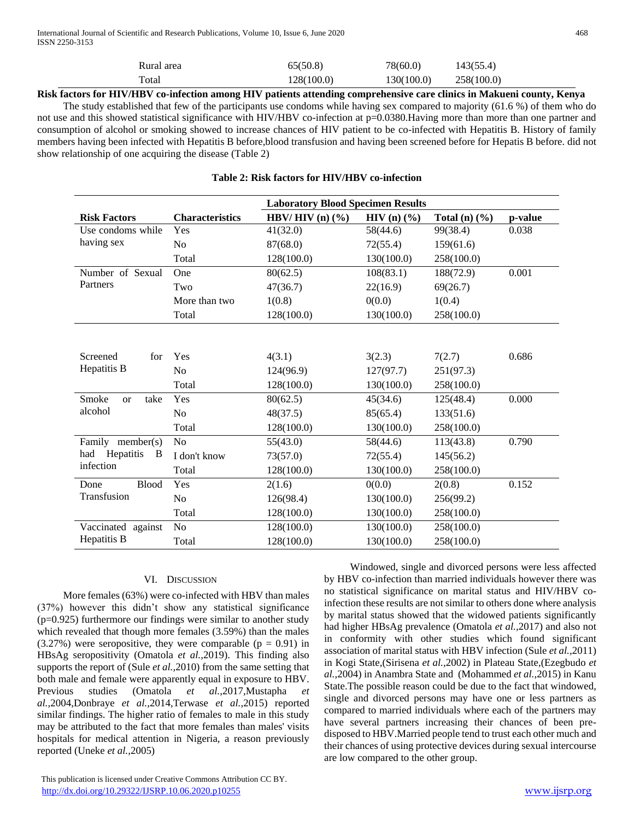show relationship of one acquiring the disease (Table 2)

| ____ | __________<br>. | ______                                                 |            | -- - - - - -                                                                | ___ |
|------|-----------------|--------------------------------------------------------|------------|-----------------------------------------------------------------------------|-----|
|      | Total<br>.      | 128(100.0)                                             | 130(100.0) | 258(100.0)<br>$\sim$                                                        |     |
|      | Rural area      | $\mathcal{L}(\mathcal{L} \cap \mathcal{D})$<br>6.UCIC0 | 78(60.0)   | $\mathbf{A} \cap \mathbf{A} = \mathbf{A}$<br>$+3($<br>, J.J. <del>4</del> J |     |

**Risk factors for HIV/HBV co-infection among HIV patients attending comprehensive care clinics in Makueni county, Kenya** The study established that few of the participants use condoms while having sex compared to majority (61.6 %) of them who do not use and this showed statistical significance with HIV/HBV co-infection at p=0.0380.Having more than more than one partner and consumption of alcohol or smoking showed to increase chances of HIV patient to be co-infected with Hepatitis B. History of family members having been infected with Hepatitis B before,blood transfusion and having been screened before for Hepatis B before. did not

**Risk Factors Characteristics Laboratory Blood Specimen Results HBV/ HIV (n) (%) HIV (n) (%) Total (n) (%) p-value** Use condoms while having sex Yes  $41(32.0)$   $58(44.6)$   $99(38.4)$  0.038 No 87(68.0) 72(55.4) 159(61.6) Total 128(100.0) 130(100.0) 258(100.0) Number of Sexual Partners One 80(62.5) 108(83.1) 188(72.9) 0.001 Two  $47(36.7)$   $22(16.9)$   $69(26.7)$ More than two  $1(0.8)$  0(0.0)  $1(0.4)$ Total 128(100.0) 130(100.0) 258(100.0) Screened for Hepatitis B Yes  $4(3.1)$   $3(2.3)$   $7(2.7)$   $0.686$ No  $124(96.9)$   $127(97.7)$   $251(97.3)$ Total 128(100.0) 130(100.0) 258(100.0) Smoke or take alcohol Yes  $80(62.5)$   $45(34.6)$   $125(48.4)$   $0.000$ No 48(37.5) 85(65.4) 133(51.6) Total 128(100.0) 130(100.0) 258(100.0) Family member(s) had Hepatitis B infection No 55(43.0) 58(44.6) 113(43.8) 0.790 I don't know 73(57.0) 72(55.4) 145(56.2) Total 128(100.0) 130(100.0) 258(100.0) Done Blood Transfusion Yes  $2(1.6)$   $0(0.0)$   $2(0.8)$   $0.152$ No  $126(98.4)$   $130(100.0)$   $256(99.2)$ Total 128(100.0) 130(100.0) 258(100.0) Vaccinated against Hepatitis B No  $128(100.0)$   $130(100.0)$   $258(100.0)$ Total 128(100.0) 130(100.0) 258(100.0)

## **Table 2: Risk factors for HIV/HBV co-infection**

## VI. DISCUSSION

 More females (63%) were co-infected with HBV than males (37%) however this didn't show any statistical significance (p=0.925) furthermore our findings were similar to another study which revealed that though more females (3.59%) than the males  $(3.27%)$  were seropositive, they were comparable  $(p = 0.91)$  in HBsAg seropositivity (Omatola *et al.,*2019). This finding also supports the report of (Sule *et al.,*2010) from the same setting that both male and female were apparently equal in exposure to HBV. Previous studies (Omatola *et al.,*2017,Mustapha *et al.,*2004,Donbraye *et al.,*2014,Terwase *et al.,*2015) reported similar findings. The higher ratio of females to male in this study may be attributed to the fact that more females than males' visits hospitals for medical attention in Nigeria, a reason previously reported (Uneke *et al.,*2005)

 This publication is licensed under Creative Commons Attribution CC BY. <http://dx.doi.org/10.29322/IJSRP.10.06.2020.p10255> [www.ijsrp.org](http://ijsrp.org/)

 Windowed, single and divorced persons were less affected by HBV co-infection than married individuals however there was no statistical significance on marital status and HIV/HBV coinfection these results are not similar to others done where analysis by marital status showed that the widowed patients significantly had higher HBsAg prevalence (Omatola *et al.,*2017) and also not in conformity with other studies which found significant association of marital status with HBV infection (Sule *et al.,*2011) in Kogi State,(Sirisena *et al.,*2002) in Plateau State,(Ezegbudo *et al.,*2004) in Anambra State and (Mohammed *et al.,*2015) in Kanu State.The possible reason could be due to the fact that windowed, single and divorced persons may have one or less partners as compared to married individuals where each of the partners may have several partners increasing their chances of been predisposed to HBV.Married people tend to trust each other much and their chances of using protective devices during sexual intercourse are low compared to the other group.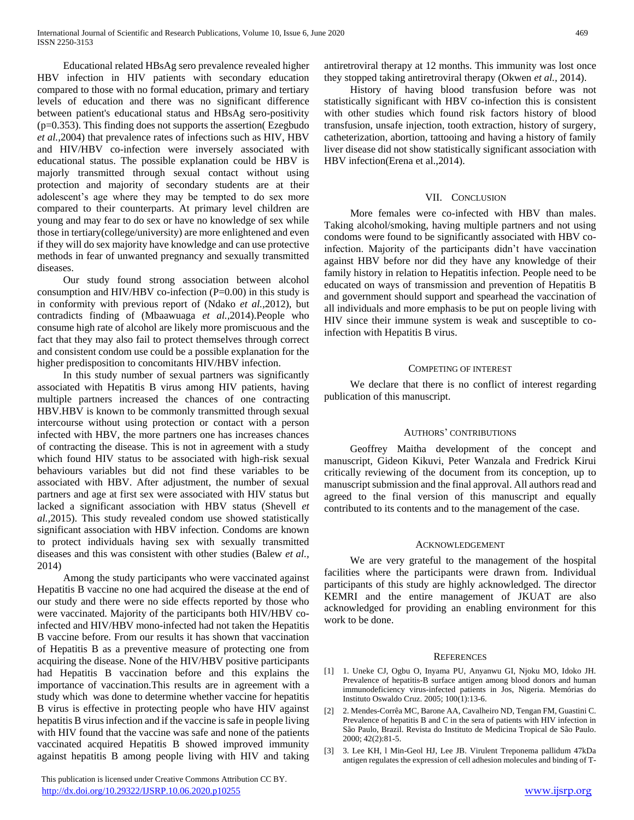Educational related HBsAg sero prevalence revealed higher HBV infection in HIV patients with secondary education compared to those with no formal education, primary and tertiary levels of education and there was no significant difference between patient's educational status and HBsAg sero-positivity  $(p=0.353)$ . This finding does not supports the assertion (Ezegbudo *et al.,*2004) that prevalence rates of infections such as HIV, HBV and HIV/HBV co-infection were inversely associated with educational status. The possible explanation could be HBV is majorly transmitted through sexual contact without using protection and majority of secondary students are at their adolescent's age where they may be tempted to do sex more compared to their counterparts. At primary level children are young and may fear to do sex or have no knowledge of sex while those in tertiary(college/university) are more enlightened and even if they will do sex majority have knowledge and can use protective methods in fear of unwanted pregnancy and sexually transmitted diseases.

 Our study found strong association between alcohol consumption and HIV/HBV co-infection  $(P=0.00)$  in this study is in conformity with previous report of (Ndako *et al.,*2012), but contradicts finding of (Mbaawuaga *et al.,*2014).People who consume high rate of alcohol are likely more promiscuous and the fact that they may also fail to protect themselves through correct and consistent condom use could be a possible explanation for the higher predisposition to concomitants HIV/HBV infection.

 In this study number of sexual partners was significantly associated with Hepatitis B virus among HIV patients, having multiple partners increased the chances of one contracting HBV.HBV is known to be commonly transmitted through sexual intercourse without using protection or contact with a person infected with HBV, the more partners one has increases chances of contracting the disease. This is not in agreement with a study which found HIV status to be associated with high-risk sexual behaviours variables but did not find these variables to be associated with HBV. After adjustment, the number of sexual partners and age at first sex were associated with HIV status but lacked a significant association with HBV status (Shevell *et al.,*2015). This study revealed condom use showed statistically significant association with HBV infection. Condoms are known to protect individuals having sex with sexually transmitted diseases and this was consistent with other studies (Balew *et al.,* 2014)

 Among the study participants who were vaccinated against Hepatitis B vaccine no one had acquired the disease at the end of our study and there were no side effects reported by those who were vaccinated. Majority of the participants both HIV/HBV coinfected and HIV/HBV mono-infected had not taken the Hepatitis B vaccine before. From our results it has shown that vaccination of Hepatitis B as a preventive measure of protecting one from acquiring the disease. None of the HIV/HBV positive participants had Hepatitis B vaccination before and this explains the importance of vaccination.This results are in agreement with a study which was done to determine whether vaccine for hepatitis B virus is effective in protecting people who have HIV against hepatitis B virus infection and if the vaccine is safe in people living with HIV found that the vaccine was safe and none of the patients vaccinated acquired Hepatitis B showed improved immunity against hepatitis B among people living with HIV and taking

 This publication is licensed under Creative Commons Attribution CC BY. <http://dx.doi.org/10.29322/IJSRP.10.06.2020.p10255> [www.ijsrp.org](http://ijsrp.org/)

antiretroviral therapy at 12 months. This immunity was lost once they stopped taking antiretroviral therapy (Okwen *et al.,* 2014).

 History of having blood transfusion before was not statistically significant with HBV co-infection this is consistent with other studies which found risk factors history of blood transfusion, unsafe injection, tooth extraction, history of surgery, catheterization, abortion, tattooing and having a history of family liver disease did not show statistically significant association with HBV infection(Erena et al.,2014).

### VII. CONCLUSION

 More females were co-infected with HBV than males. Taking alcohol/smoking, having multiple partners and not using condoms were found to be significantly associated with HBV coinfection. Majority of the participants didn't have vaccination against HBV before nor did they have any knowledge of their family history in relation to Hepatitis infection. People need to be educated on ways of transmission and prevention of Hepatitis B and government should support and spearhead the vaccination of all individuals and more emphasis to be put on people living with HIV since their immune system is weak and susceptible to coinfection with Hepatitis B virus.

#### COMPETING OF INTEREST

 We declare that there is no conflict of interest regarding publication of this manuscript.

#### AUTHORS' CONTRIBUTIONS

 Geoffrey Maitha development of the concept and manuscript, Gideon Kikuvi, Peter Wanzala and Fredrick Kirui critically reviewing of the document from its conception, up to manuscript submission and the final approval. All authors read and agreed to the final version of this manuscript and equally contributed to its contents and to the management of the case.

#### ACKNOWLEDGEMENT

 We are very grateful to the management of the hospital facilities where the participants were drawn from. Individual participants of this study are highly acknowledged. The director KEMRI and the entire management of JKUAT are also acknowledged for providing an enabling environment for this work to be done.

#### **REFERENCES**

- [1] 1. Uneke CJ, Ogbu O, Inyama PU, Anyanwu GI, Njoku MO, Idoko JH. Prevalence of hepatitis-B surface antigen among blood donors and human immunodeficiency virus-infected patients in Jos, Nigeria. Memórias do Instituto Oswaldo Cruz. 2005; 100(1):13-6.
- [2] 2. Mendes-Corrêa MC, Barone AA, Cavalheiro ND, Tengan FM, Guastini C. Prevalence of hepatitis B and C in the sera of patients with HIV infection in São Paulo, Brazil. Revista do Instituto de Medicina Tropical de São Paulo. 2000; 42(2):81-5.
- [3] 3. Lee KH, l Min-Geol HJ, Lee JB. Virulent Treponema pallidum 47kDa antigen regulates the expression of cell adhesion molecules and binding of T-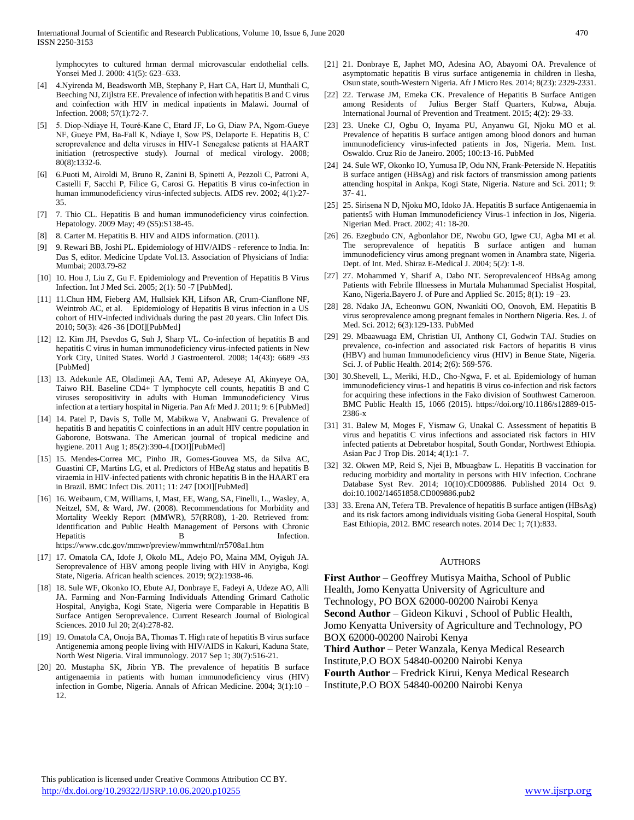lymphocytes to cultured hrman dermal microvascular endothelial cells. Yonsei Med J. 2000: 41(5): 623–633.

- [4] 4.Nyirenda M, Beadsworth MB, Stephany P, Hart CA, Hart IJ, Munthali C, Beeching NJ, Zijlstra EE. Prevalence of infection with hepatitis B and C virus and coinfection with HIV in medical inpatients in Malawi. Journal of Infection. 2008; 57(1):72-7.
- [5] 5. Diop‐Ndiaye H, Touré‐Kane C, Etard JF, Lo G, Diaw PA, Ngom‐Gueye NF, Gueye PM, Ba‐Fall K, Ndiaye I, Sow PS, Delaporte E. Hepatitis B, C seroprevalence and delta viruses in HIV‐1 Senegalese patients at HAART initiation (retrospective study). Journal of medical virology. 2008; 80(8):1332-6.
- [6] 6.Puoti M, Airoldi M, Bruno R, Zanini B, Spinetti A, Pezzoli C, Patroni A, Castelli F, Sacchi P, Filice G, Carosi G. Hepatitis B virus co-infection in human immunodeficiency virus-infected subjects. AIDS rev. 2002; 4(1):27- 35.
- [7] 7. Thio CL. Hepatitis B and human immunodeficiency virus coinfection. Hepatology. 2009 May; 49 (S5):S138-45.
- [8] 8. Carter M. Hepatitis B. HIV and AIDS information. (2011).
- [9] 9. Rewari BB, Joshi PL. Epidemiology of HIV/AIDS reference to India. In: Das S, editor. Medicine Update Vol.13. Association of Physicians of India: Mumbai; 2003.79-82
- [10] 10. Hou J, Liu Z, Gu F. Epidemiology and Prevention of Hepatitis B Virus Infection. Int J Med Sci. 2005; 2(1): 50 -7 [PubMed].
- [11] 11.Chun HM, Fieberg AM, Hullsiek KH, Lifson AR, Crum-Cianflone NF, Weintrob AC, et al. Epidemiology of Hepatitis B virus infection in a US cohort of HIV-infected individuals during the past 20 years. Clin Infect Dis. 2010; 50(3): 426 -36 [DOI][PubMed]
- [12] 12. Kim JH, Psevdos G, Suh J, Sharp VL. Co-infection of hepatitis B and hepatitis C virus in human immunodeficiency virus-infected patients in New York City, United States. World J Gastroenterol. 2008; 14(43): 6689 -93 [PubMed]
- [13] 13. Adekunle AE, Oladimeji AA, Temi AP, Adeseye AI, Akinyeye OA, Taiwo RH. Baseline CD4+ T lymphocyte cell counts, hepatitis B and C viruses seropositivity in adults with Human Immunodeficiency Virus infection at a tertiary hospital in Nigeria. Pan Afr Med J. 2011; 9: 6 [PubMed]
- [14] 14. Patel P, Davis S, Tolle M, Mabikwa V, Anabwani G. Prevalence of hepatitis B and hepatitis C coinfections in an adult HIV centre population in Gaborone, Botswana. The American journal of tropical medicine and hygiene. 2011 Aug 1; 85(2):390-4.[DOI][PubMed]
- [15] 15. Mendes-Correa MC, Pinho JR, Gomes-Gouvea MS, da Silva AC, Guastini CF, Martins LG, et al. Predictors of HBeAg status and hepatitis B viraemia in HIV-infected patients with chronic hepatitis B in the HAART era in Brazil. BMC Infect Dis. 2011; 11: 247 [DOI][PubMed]
- [16] 16. Weibaum, CM, Williams, I, Mast, EE, Wang, SA, Finelli, L., Wasley, A, Neitzel, SM, & Ward, JW. (2008). Recommendations for Morbidity and Mortality Weekly Report (MMWR), 57(RR08), 1-20. Retrieved from: Identification and Public Health Management of Persons with Chronic Hepatitis B Infection. https://www.cdc.gov/mmwr/preview/mmwrhtml/rr5708a1.htm
- [17] 17. Omatola CA, Idofe J, Okolo ML, Adejo PO, Maina MM, Oyiguh JA. Seroprevalence of HBV among people living with HIV in Anyigba, Kogi State, Nigeria. African health sciences. 2019; 9(2):1938-46.
- [18] 18. Sule WF, Okonko IO, Ebute AJ, Donbraye E, Fadeyi A, Udeze AO, Alli JA. Farming and Non-Farming Individuals Attending Grimard Catholic Hospital, Anyigba, Kogi State, Nigeria were Comparable in Hepatitis B Surface Antigen Seroprevalence. Current Research Journal of Biological Sciences. 2010 Jul 20; 2(4):278-82.
- [19] 19. Omatola CA, Onoja BA, Thomas T. High rate of hepatitis B virus surface Antigenemia among people living with HIV/AIDS in Kakuri, Kaduna State, North West Nigeria. Viral immunology. 2017 Sep 1; 30(7):516-21.
- [20] 20. Mustapha SK, Jibrin YB. The prevalence of hepatitis B surface antigenaemia in patients with human immunodeficiency virus (HIV) infection in Gombe, Nigeria. Annals of African Medicine. 2004; 3(1):10 – 12.
- [21] 21. Donbraye E, Japhet MO, Adesina AO, Abayomi OA. Prevalence of asymptomatic hepatitis B virus surface antigenemia in children in llesha, Osun state, south-Western Nigeria. Afr J Micro Res. 2014; 8(23): 2329-2331.
- [22] 22. Terwase JM, Emeka CK. Prevalence of Hepatitis B Surface Antigen among Residents of Julius Berger Staff Quarters, Kubwa, Abuja. International Journal of Prevention and Treatment. 2015; 4(2): 29-33.
- [23] 23. Uneke CJ, Ogbu O, Inyama PU, Anyanwu GI, Njoku MO et al. Prevalence of hepatitis B surface antigen among blood donors and human immunodeficiency virus-infected patients in Jos, Nigeria. Mem. Inst. Oswaldo. Cruz Rio de Janeiro. 2005; 100:13-16. PubMed
- [24] 24. Sule WF, Okonko IO, Yumusa IP, Odu NN, Frank-Peterside N. Hepatitis B surface antigen (HBsAg) and risk factors of transmission among patients attending hospital in Ankpa, Kogi State, Nigeria. Nature and Sci. 2011; 9: 37- 41.
- [25] 25. Sirisena N D, Njoku MO, Idoko JA. Hepatitis B surface Antigenaemia in patients5 with Human Immunodeficiency Virus-1 infection in Jos, Nigeria. Nigerian Med. Pract. 2002; 41: 18-20.
- [26] 26. Ezegbudo CN, Agbonlahor DE, Nwobu GO, Igwe CU, Agba MI et al. The seroprevalence of hepatitis B surface antigen and human immunodeficiency virus among pregnant women in Anambra state, Nigeria. Dept. of Int. Med. Shiraz E-Medical J. 2004; 5(2): 1-8.
- [27] 27. Mohammed Y, Sharif A, Dabo NT. Seroprevalence of HBsAg among Patients with Febrile Illnessess in Murtala Muhammad Specialist Hospital, Kano, Nigeria.Bayero J. of Pure and Applied Sc. 2015; 8(1): 19 –23.
- [28] 28. Ndako JA, Echeonwu GON, Nwankiti OO, Onovoh, EM. Hepatitis B virus seroprevalence among pregnant females in Northern Nigeria. Res. J. of Med. Sci. 2012; 6(3):129-133. PubMed
- [29] 29. Mbaawuaga EM, Christian UI, Anthony CI, Godwin TAJ. Studies on prevalence, co-infection and associated risk Factors of hepatitis B virus (HBV) and human Immunodeficiency virus (HIV) in Benue State, Nigeria. Sci. J. of Public Health. 2014; 2(6): 569-576.
- [30] 30.Shevell, L., Meriki, H.D., Cho-Ngwa, F. et al. Epidemiology of human immunodeficiency virus-1 and hepatitis B virus co-infection and risk factors for acquiring these infections in the Fako division of Southwest Cameroon. BMC Public Health 15, 1066 (2015). https://doi.org/10.1186/s12889-015- 2386-x
- [31] 31. Balew M, Moges F, Yismaw G, Unakal C. Assessment of hepatitis B virus and hepatitis C virus infections and associated risk factors in HIV infected patients at Debretabor hospital, South Gondar, Northwest Ethiopia. Asian Pac J Trop Dis. 2014; 4(1):1–7.
- [32] 32. Okwen MP, Reid S, Njei B, Mbuagbaw L. Hepatitis B vaccination for reducing morbidity and mortality in persons with HIV infection. Cochrane Database Syst Rev. 2014; 10(10):CD009886. Published 2014 Oct 9. doi:10.1002/14651858.CD009886.pub2
- [33] 33. Erena AN, Tefera TB. Prevalence of hepatitis B surface antigen (HBsAg) and its risk factors among individuals visiting Goba General Hospital, South East Ethiopia, 2012. BMC research notes. 2014 Dec 1; 7(1):833.

#### AUTHORS

**First Author** – Geoffrey Mutisya Maitha, School of Public Health, Jomo Kenyatta University of Agriculture and Technology, PO BOX 62000-00200 Nairobi Kenya **Second Author** – Gideon Kikuvi , School of Public Health, Jomo Kenyatta University of Agriculture and Technology, PO BOX 62000-00200 Nairobi Kenya **Third Author** – Peter Wanzala, Kenya Medical Research Institute,P.O BOX 54840-00200 Nairobi Kenya

**Fourth Author** – Fredrick Kirui, Kenya Medical Research Institute,P.O BOX 54840-00200 Nairobi Kenya